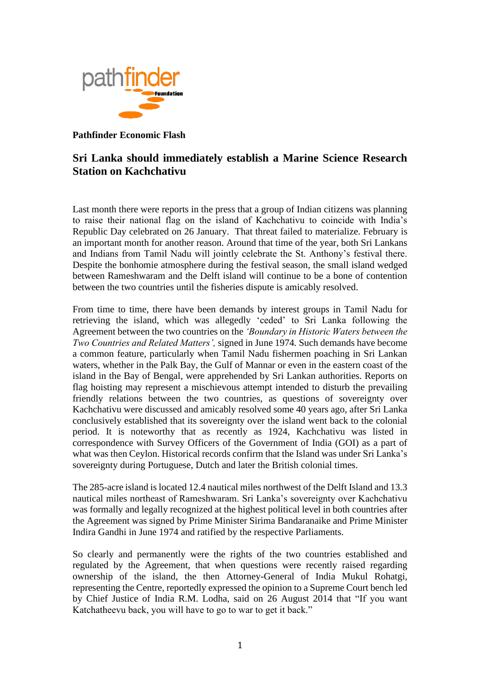

## **Pathfinder Economic Flash**

## **Sri Lanka should immediately establish a Marine Science Research Station on Kachchativu**

Last month there were reports in the press that a group of Indian citizens was planning to raise their national flag on the island of Kachchativu to coincide with India's Republic Day celebrated on 26 January. That threat failed to materialize. February is an important month for another reason. Around that time of the year, both Sri Lankans and Indians from Tamil Nadu will jointly celebrate the St. Anthony's festival there. Despite the bonhomie atmosphere during the festival season, the small island wedged between Rameshwaram and the Delft island will continue to be a bone of contention between the two countries until the fisheries dispute is amicably resolved.

From time to time, there have been demands by interest groups in Tamil Nadu for retrieving the island, which was allegedly 'ceded' to Sri Lanka following the Agreement between the two countries on the *'Boundary in Historic Waters between the Two Countries and Related Matters',* signed in June 1974*.* Such demands have become a common feature, particularly when Tamil Nadu fishermen poaching in Sri Lankan waters, whether in the Palk Bay, the Gulf of Mannar or even in the eastern coast of the island in the Bay of Bengal, were apprehended by Sri Lankan authorities. Reports on flag hoisting may represent a mischievous attempt intended to disturb the prevailing friendly relations between the two countries, as questions of sovereignty over Kachchativu were discussed and amicably resolved some 40 years ago, after Sri Lanka conclusively established that its sovereignty over the island went back to the colonial period. It is noteworthy that as recently as 1924, Kachchativu was listed in correspondence with Survey Officers of the Government of India (GOI) as a part of what was then Ceylon. Historical records confirm that the Island was under Sri Lanka's sovereignty during Portuguese, Dutch and later the British colonial times.

The 285-acre island is located 12.4 nautical miles northwest of the Delft Island and 13.3 nautical miles northeast of Rameshwaram. Sri Lanka's sovereignty over Kachchativu was formally and legally recognized at the highest political level in both countries after the Agreement was signed by Prime Minister Sirima Bandaranaike and Prime Minister Indira Gandhi in June 1974 and ratified by the respective Parliaments.

So clearly and permanently were the rights of the two countries established and regulated by the Agreement, that when questions were recently raised regarding ownership of the island, the then Attorney-General of India Mukul Rohatgi, representing the Centre, reportedly expressed the opinion to a Supreme Court bench led by Chief Justice of India R.M. Lodha, said on 26 August 2014 that "If you want Katchatheevu back, you will have to go to war to get it back."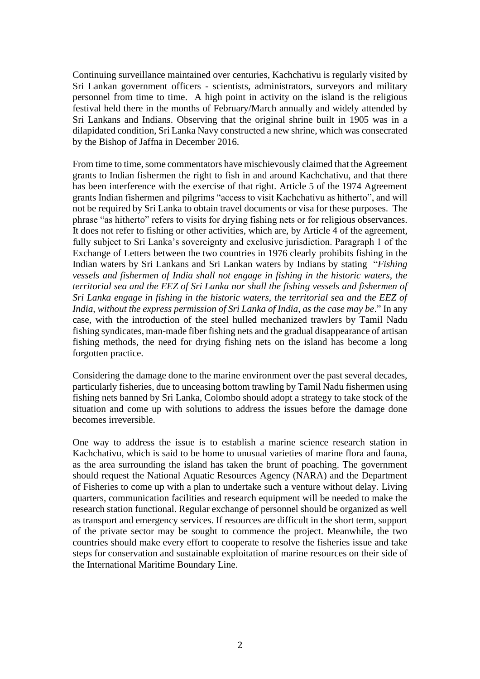Continuing surveillance maintained over centuries, Kachchativu is regularly visited by Sri Lankan government officers - scientists, administrators, surveyors and military personnel from time to time. A high point in activity on the island is the religious festival held there in the months of February/March annually and widely attended by Sri Lankans and Indians. Observing that the original shrine built in 1905 was in a dilapidated condition, Sri Lanka Navy constructed a new shrine, which was consecrated by the Bishop of Jaffna in December 2016.

From time to time, some commentators have mischievously claimed that the Agreement grants to Indian fishermen the right to fish in and around Kachchativu, and that there has been interference with the exercise of that right. Article 5 of the 1974 Agreement grants Indian fishermen and pilgrims "access to visit Kachchativu as hitherto", and will not be required by Sri Lanka to obtain travel documents or visa for these purposes. The phrase "as hitherto" refers to visits for drying fishing nets or for religious observances. It does not refer to fishing or other activities, which are, by Article 4 of the agreement, fully subject to Sri Lanka's sovereignty and exclusive jurisdiction. Paragraph 1 of the Exchange of Letters between the two countries in 1976 clearly prohibits fishing in the Indian waters by Sri Lankans and Sri Lankan waters by Indians by stating "*Fishing vessels and fishermen of India shall not engage in fishing in the historic waters, the territorial sea and the EEZ of Sri Lanka nor shall the fishing vessels and fishermen of Sri Lanka engage in fishing in the historic waters, the territorial sea and the EEZ of India, without the express permission of Sri Lanka of India, as the case may be*." In any case, with the introduction of the steel hulled mechanized trawlers by Tamil Nadu fishing syndicates, man-made fiber fishing nets and the gradual disappearance of artisan fishing methods, the need for drying fishing nets on the island has become a long forgotten practice.

Considering the damage done to the marine environment over the past several decades, particularly fisheries, due to unceasing bottom trawling by Tamil Nadu fishermen using fishing nets banned by Sri Lanka, Colombo should adopt a strategy to take stock of the situation and come up with solutions to address the issues before the damage done becomes irreversible.

One way to address the issue is to establish a marine science research station in Kachchativu, which is said to be home to unusual varieties of marine flora and fauna, as the area surrounding the island has taken the brunt of poaching. The government should request the National Aquatic Resources Agency (NARA) and the Department of Fisheries to come up with a plan to undertake such a venture without delay. Living quarters, communication facilities and research equipment will be needed to make the research station functional. Regular exchange of personnel should be organized as well as transport and emergency services. If resources are difficult in the short term, support of the private sector may be sought to commence the project. Meanwhile, the two countries should make every effort to cooperate to resolve the fisheries issue and take steps for conservation and sustainable exploitation of marine resources on their side of the International Maritime Boundary Line.